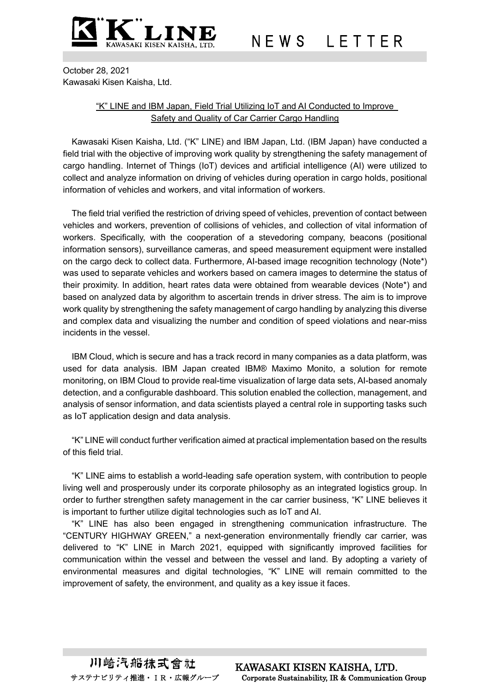

October 28, 2021 Kawasaki Kisen Kaisha, Ltd.

## "K" LINE and IBM Japan, Field Trial Utilizing IoT and AI Conducted to Improve Safety and Quality of Car Carrier Cargo Handling

Kawasaki Kisen Kaisha, Ltd. ("K" LINE) and IBM Japan, Ltd. (IBM Japan) have conducted a field trial with the objective of improving work quality by strengthening the safety management of cargo handling. Internet of Things (IoT) devices and artificial intelligence (AI) were utilized to collect and analyze information on driving of vehicles during operation in cargo holds, positional information of vehicles and workers, and vital information of workers.

The field trial verified the restriction of driving speed of vehicles, prevention of contact between vehicles and workers, prevention of collisions of vehicles, and collection of vital information of workers. Specifically, with the cooperation of a stevedoring company, beacons (positional information sensors), surveillance cameras, and speed measurement equipment were installed on the cargo deck to collect data. Furthermore, AI-based image recognition technology (Note\*) was used to separate vehicles and workers based on camera images to determine the status of their proximity. In addition, heart rates data were obtained from wearable devices (Note\*) and based on analyzed data by algorithm to ascertain trends in driver stress. The aim is to improve work quality by strengthening the safety management of cargo handling by analyzing this diverse and complex data and visualizing the number and condition of speed violations and near-miss incidents in the vessel.

IBM Cloud, which is secure and has a track record in many companies as a data platform, was used for data analysis. IBM Japan created IBM®︎ Maximo Monito, a solution for remote monitoring, on IBM Cloud to provide real-time visualization of large data sets, AI-based anomaly detection, and a configurable dashboard. This solution enabled the collection, management, and analysis of sensor information, and data scientists played a central role in supporting tasks such as IoT application design and data analysis.

"K" LINE will conduct further verification aimed at practical implementation based on the results of this field trial.

"K" LINE aims to establish a world-leading safe operation system, with contribution to people living well and prosperously under its corporate philosophy as an integrated logistics group. In order to further strengthen safety management in the car carrier business, "K" LINE believes it is important to further utilize digital technologies such as IoT and AI.

"K" LINE has also been engaged in strengthening communication infrastructure. The "CENTURY HIGHWAY GREEN," a next-generation environmentally friendly car carrier, was delivered to "K" LINE in March 2021, equipped with significantly improved facilities for communication within the vessel and between the vessel and land. By adopting a variety of environmental measures and digital technologies, "K" LINE will remain committed to the improvement of safety, the environment, and quality as a key issue it faces.